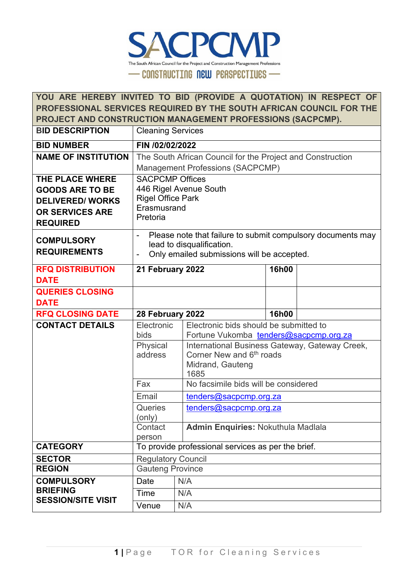

| YOU ARE HEREBY INVITED TO BID (PROVIDE A QUOTATION) IN RESPECT OF<br>PROFESSIONAL SERVICES REQUIRED BY THE SOUTH AFRICAN COUNCIL FOR THE |                                                            |                          |                                                             |                        |  |  |
|------------------------------------------------------------------------------------------------------------------------------------------|------------------------------------------------------------|--------------------------|-------------------------------------------------------------|------------------------|--|--|
|                                                                                                                                          | PROJECT AND CONSTRUCTION MANAGEMENT PROFESSIONS (SACPCMP). |                          |                                                             |                        |  |  |
| <b>BID DESCRIPTION</b>                                                                                                                   | <b>Cleaning Services</b>                                   |                          |                                                             |                        |  |  |
| <b>BID NUMBER</b>                                                                                                                        | FIN /02/02/2022                                            |                          |                                                             |                        |  |  |
| <b>NAME OF INSTITUTION</b>                                                                                                               |                                                            |                          | The South African Council for the Project and Construction  |                        |  |  |
|                                                                                                                                          |                                                            |                          | <b>Management Professions (SACPCMP)</b>                     |                        |  |  |
| <b>THE PLACE WHERE</b>                                                                                                                   | <b>SACPCMP Offices</b>                                     |                          |                                                             |                        |  |  |
| <b>GOODS ARE TO BE</b>                                                                                                                   |                                                            |                          | 446 Rigel Avenue South                                      |                        |  |  |
| <b>DELIVERED/WORKS</b>                                                                                                                   | <b>Rigel Office Park</b><br>Erasmusrand                    |                          |                                                             |                        |  |  |
| OR SERVICES ARE                                                                                                                          | Pretoria                                                   |                          |                                                             |                        |  |  |
| <b>REQUIRED</b>                                                                                                                          |                                                            |                          |                                                             |                        |  |  |
| <b>COMPULSORY</b>                                                                                                                        |                                                            |                          | Please note that failure to submit compulsory documents may |                        |  |  |
| <b>REQUIREMENTS</b>                                                                                                                      |                                                            |                          | lead to disqualification.                                   |                        |  |  |
|                                                                                                                                          | $\qquad \qquad \blacksquare$                               |                          | Only emailed submissions will be accepted.                  |                        |  |  |
| <b>RFQ DISTRIBUTION</b>                                                                                                                  | 21 February 2022                                           |                          |                                                             | 16h00                  |  |  |
| <b>DATE</b>                                                                                                                              |                                                            |                          |                                                             |                        |  |  |
| <b>QUERIES CLOSING</b>                                                                                                                   |                                                            |                          |                                                             |                        |  |  |
| <b>DATE</b>                                                                                                                              |                                                            |                          |                                                             |                        |  |  |
| <b>RFQ CLOSING DATE</b>                                                                                                                  | 28 February 2022                                           |                          |                                                             | 16h00                  |  |  |
| <b>CONTACT DETAILS</b>                                                                                                                   | Electronic<br>Electronic bids should be submitted to       |                          |                                                             |                        |  |  |
|                                                                                                                                          | bids                                                       |                          | Fortune Vukomba tenders@sacpcmp.org.za                      |                        |  |  |
|                                                                                                                                          | Physical                                                   |                          | International Business Gateway, Gateway Creek,              |                        |  |  |
|                                                                                                                                          | address                                                    |                          | Corner New and 6 <sup>th</sup> roads                        |                        |  |  |
|                                                                                                                                          |                                                            | Midrand, Gauteng<br>1685 |                                                             |                        |  |  |
|                                                                                                                                          | Fax                                                        |                          | No facsimile bids will be considered                        |                        |  |  |
|                                                                                                                                          | Email                                                      |                          | <u>tenders@sacpcmp.org.za</u>                               |                        |  |  |
|                                                                                                                                          | <b>Queries</b>                                             |                          |                                                             | tenders@sacpcmp.org.za |  |  |
|                                                                                                                                          | (only)                                                     |                          |                                                             |                        |  |  |
|                                                                                                                                          | Contact                                                    |                          | <b>Admin Enquiries: Nokuthula Madlala</b>                   |                        |  |  |
|                                                                                                                                          | person                                                     |                          |                                                             |                        |  |  |
| <b>CATEGORY</b>                                                                                                                          |                                                            |                          | To provide professional services as per the brief.          |                        |  |  |
| <b>SECTOR</b><br><b>REGION</b>                                                                                                           | <b>Regulatory Council</b>                                  |                          |                                                             |                        |  |  |
|                                                                                                                                          | <b>Gauteng Province</b>                                    |                          |                                                             |                        |  |  |
| <b>COMPULSORY</b><br><b>BRIEFING</b>                                                                                                     | Date<br>N/A                                                |                          |                                                             |                        |  |  |
| <b>SESSION/SITE VISIT</b>                                                                                                                | Time                                                       |                          | N/A                                                         |                        |  |  |
|                                                                                                                                          | Venue                                                      | N/A                      |                                                             |                        |  |  |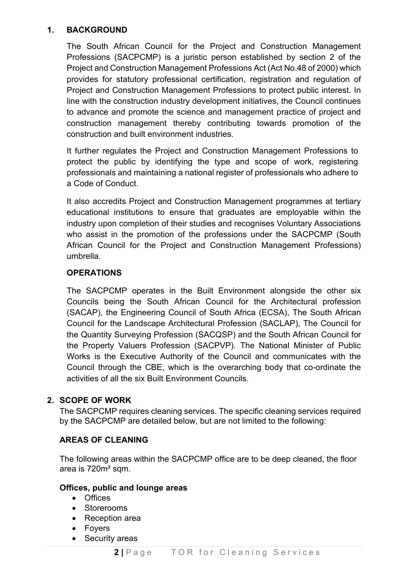#### **1. BACKGROUND**

The South African Council for the Project and Construction Management Professions (SACPCMP) is a juristic person established by section 2 of the Project and Construction Management Professions Act (Act No.48 of 2000) which provides for statutory professional certification, registration and regulation of Project and Construction Management Professions to protect public interest. In line with the construction industry development initiatives, the Council continues to advance and promote the science and management practice of project and construction management thereby contributing towards promotion of the construction and built environment industries.

It further regulates the Project and Construction Management Professions to protect the public by identifying the type and scope of work, registering professionals and maintaining a national register of professionals who adhere to a Code of Conduct.

It also accredits Project and Construction Management programmes at tertiary educational institutions to ensure that graduates are employable within the industry upon completion of their studies and recognises Voluntary Associations who assist in the promotion of the professions under the SACPCMP (South African Council for the Project and Construction Management Professions) umbrella.

### **OPERATIONS**

The SACPCMP operates in the Built Environment alongside the other six Councils being the South African Council for the Architectural profession (SACAP), the Engineering Council of South Africa (ECSA), The South African Council for the Landscape Architectural Profession (SACLAP), The Council for the Quantity Surveying Profession (SACQSP) and the South African Council for the Property Valuers Profession (SACPVP). The National Minister of Public Works is the Executive Authority of the Council and communicates with the Council through the CBE, which is the overarching body that co-ordinate the activities of all the six Built Environment Councils.

### **2. SCOPE OF WORK**

The SACPCMP requires cleaning services. The specific cleaning services required by the SACPCMP are detailed below, but are not limited to the following:

#### **AREAS OF CLEANING**

The following areas within the SACPCMP office are to be deep cleaned, the floor area is 720m² sqm.

#### **Offices, public and lounge areas**

- Offices
- Storerooms
- Reception area
- Foyers
- Security areas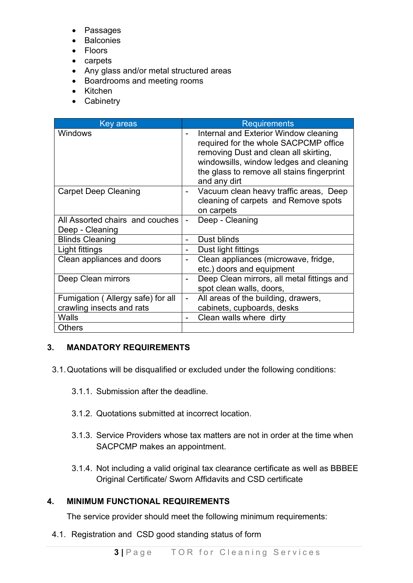- Passages
- Balconies
- Floors
- carpets
- Any glass and/or metal structured areas
- Boardrooms and meeting rooms
- Kitchen
- Cabinetry

| Key areas                                          | <b>Requirements</b>                                                                                                                                                                                                              |
|----------------------------------------------------|----------------------------------------------------------------------------------------------------------------------------------------------------------------------------------------------------------------------------------|
| <b>Windows</b>                                     | Internal and Exterior Window cleaning<br>required for the whole SACPCMP office<br>removing Dust and clean all skirting,<br>windowsills, window ledges and cleaning<br>the glass to remove all stains fingerprint<br>and any dirt |
| <b>Carpet Deep Cleaning</b>                        | Vacuum clean heavy traffic areas, Deep<br>cleaning of carpets and Remove spots<br>on carpets                                                                                                                                     |
| All Assorted chairs and couches<br>Deep - Cleaning | Deep - Cleaning                                                                                                                                                                                                                  |
| <b>Blinds Cleaning</b>                             | Dust blinds                                                                                                                                                                                                                      |
| Light fittings                                     | Dust light fittings                                                                                                                                                                                                              |
| Clean appliances and doors                         | Clean appliances (microwave, fridge,<br>etc.) doors and equipment                                                                                                                                                                |
| Deep Clean mirrors                                 | Deep Clean mirrors, all metal fittings and<br>spot clean walls, doors,                                                                                                                                                           |
| Fumigation (Allergy safe) for all                  | All areas of the building, drawers,                                                                                                                                                                                              |
| crawling insects and rats                          | cabinets, cupboards, desks                                                                                                                                                                                                       |
| Walls                                              | Clean walls where dirty                                                                                                                                                                                                          |
| <b>Others</b>                                      |                                                                                                                                                                                                                                  |

### **3. MANDATORY REQUIREMENTS**

- 3.1.Quotations will be disqualified or excluded under the following conditions:
	- 3.1.1. Submission after the deadline.
	- 3.1.2. Quotations submitted at incorrect location.
	- 3.1.3. Service Providers whose tax matters are not in order at the time when SACPCMP makes an appointment.
	- 3.1.4. Not including a valid original tax clearance certificate as well as BBBEE Original Certificate/ Sworn Affidavits and CSD certificate

### **4. MINIMUM FUNCTIONAL REQUIREMENTS**

The service provider should meet the following minimum requirements:

4.1. Registration and CSD good standing status of form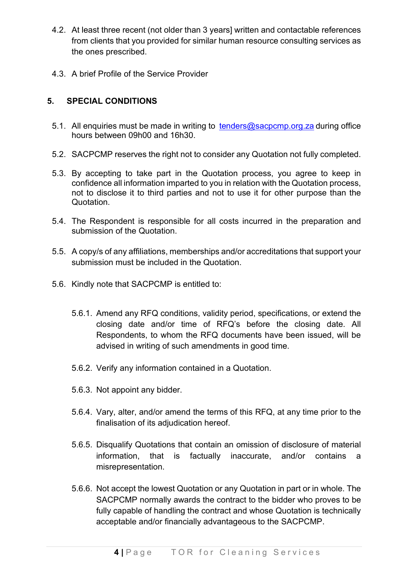- 4.2. At least three recent (not older than 3 years] written and contactable references from clients that you provided for similar human resource consulting services as the ones prescribed.
- 4.3. A brief Profile of the Service Provider

## **5. SPECIAL CONDITIONS**

- 5.1. All enquiries must be made in writing to [tenders@sacpcmp.org.za](mailto:tenders@sacpcmp.org.za) during office hours between 09h00 and 16h30.
- 5.2. SACPCMP reserves the right not to consider any Quotation not fully completed.
- 5.3. By accepting to take part in the Quotation process, you agree to keep in confidence all information imparted to you in relation with the Quotation process, not to disclose it to third parties and not to use it for other purpose than the Quotation.
- 5.4. The Respondent is responsible for all costs incurred in the preparation and submission of the Quotation.
- 5.5. A copy/s of any affiliations, memberships and/or accreditations that support your submission must be included in the Quotation.
- 5.6. Kindly note that SACPCMP is entitled to:
	- 5.6.1. Amend any RFQ conditions, validity period, specifications, or extend the closing date and/or time of RFQ's before the closing date. All Respondents, to whom the RFQ documents have been issued, will be advised in writing of such amendments in good time.
	- 5.6.2. Verify any information contained in a Quotation.
	- 5.6.3. Not appoint any bidder.
	- 5.6.4. Vary, alter, and/or amend the terms of this RFQ, at any time prior to the finalisation of its adjudication hereof.
	- 5.6.5. Disqualify Quotations that contain an omission of disclosure of material information, that is factually inaccurate, and/or contains a misrepresentation.
	- 5.6.6. Not accept the lowest Quotation or any Quotation in part or in whole. The SACPCMP normally awards the contract to the bidder who proves to be fully capable of handling the contract and whose Quotation is technically acceptable and/or financially advantageous to the SACPCMP.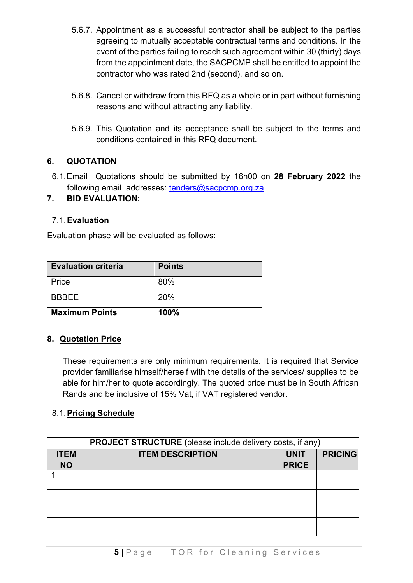- 5.6.7. Appointment as a successful contractor shall be subject to the parties agreeing to mutually acceptable contractual terms and conditions. In the event of the parties failing to reach such agreement within 30 (thirty) days from the appointment date, the SACPCMP shall be entitled to appoint the contractor who was rated 2nd (second), and so on.
- 5.6.8. Cancel or withdraw from this RFQ as a whole or in part without furnishing reasons and without attracting any liability.
- 5.6.9. This Quotation and its acceptance shall be subject to the terms and conditions contained in this RFQ document.

## **6. QUOTATION**

6.1.Email Quotations should be submitted by 16h00 on **28 February 2022** the following email addresses: [tenders@sacpcmp.org.za](mailto:tenders@sacpcmp.org.za)

## **7. BID EVALUATION:**

## 7.1.**Evaluation**

Evaluation phase will be evaluated as follows:

| <b>Evaluation criteria</b> | <b>Points</b> |
|----------------------------|---------------|
| Price                      | 80%           |
| <b>RRRFF</b>               | 20%           |
| <b>Maximum Points</b>      | 100%          |

### **8. Quotation Price**

These requirements are only minimum requirements. It is required that Service provider familiarise himself/herself with the details of the services/ supplies to be able for him/her to quote accordingly. The quoted price must be in South African Rands and be inclusive of 15% Vat, if VAT registered vendor.

## 8.1.**Pricing Schedule**

| <b>PROJECT STRUCTURE</b> (please include delivery costs, if any) |                         |              |                |  |  |
|------------------------------------------------------------------|-------------------------|--------------|----------------|--|--|
| <b>ITEM</b>                                                      | <b>ITEM DESCRIPTION</b> | <b>UNIT</b>  | <b>PRICING</b> |  |  |
| <b>NO</b>                                                        |                         | <b>PRICE</b> |                |  |  |
|                                                                  |                         |              |                |  |  |
|                                                                  |                         |              |                |  |  |
|                                                                  |                         |              |                |  |  |
|                                                                  |                         |              |                |  |  |
|                                                                  |                         |              |                |  |  |
|                                                                  |                         |              |                |  |  |
|                                                                  |                         |              |                |  |  |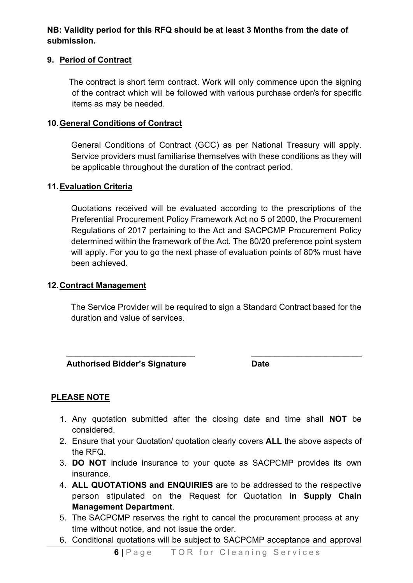## **NB: Validity period for this RFQ should be at least 3 Months from the date of submission.**

### **9. Period of Contract**

The contract is short term contract. Work will only commence upon the signing of the contract which will be followed with various purchase order/s for specific items as may be needed.

#### **10.General Conditions of Contract**

General Conditions of Contract (GCC) as per National Treasury will apply. Service providers must familiarise themselves with these conditions as they will be applicable throughout the duration of the contract period.

#### **11.Evaluation Criteria**

Quotations received will be evaluated according to the prescriptions of the Preferential Procurement Policy Framework Act no 5 of 2000, the Procurement Regulations of 2017 pertaining to the Act and SACPCMP Procurement Policy determined within the framework of the Act. The 80/20 preference point system will apply. For you to go the next phase of evaluation points of 80% must have been achieved.

#### **12.Contract Management**

The Service Provider will be required to sign a Standard Contract based for the duration and value of services.

 $\frac{1}{\sqrt{2}}$  ,  $\frac{1}{\sqrt{2}}$  ,  $\frac{1}{\sqrt{2}}$  ,  $\frac{1}{\sqrt{2}}$  ,  $\frac{1}{\sqrt{2}}$  ,  $\frac{1}{\sqrt{2}}$  ,  $\frac{1}{\sqrt{2}}$  ,  $\frac{1}{\sqrt{2}}$  ,  $\frac{1}{\sqrt{2}}$  ,  $\frac{1}{\sqrt{2}}$  ,  $\frac{1}{\sqrt{2}}$  ,  $\frac{1}{\sqrt{2}}$  ,  $\frac{1}{\sqrt{2}}$  ,  $\frac{1}{\sqrt{2}}$  ,  $\frac{1}{\sqrt{2}}$ 

 **Authorised Bidder's Signature Date**

### **PLEASE NOTE**

- 1. Any quotation submitted after the closing date and time shall **NOT** be considered.
- 2. Ensure that your Quotation/ quotation clearly covers **ALL** the above aspects of the RFQ.
- 3. **DO NOT** include insurance to your quote as SACPCMP provides its own insurance.
- 4. **ALL QUOTATIONS and ENQUIRIES** are to be addressed to the respective person stipulated on the Request for Quotation **in Supply Chain Management Department**.
- 5. The SACPCMP reserves the right to cancel the procurement process at any time without notice, and not issue the order.
- 6. Conditional quotations will be subject to SACPCMP acceptance and approval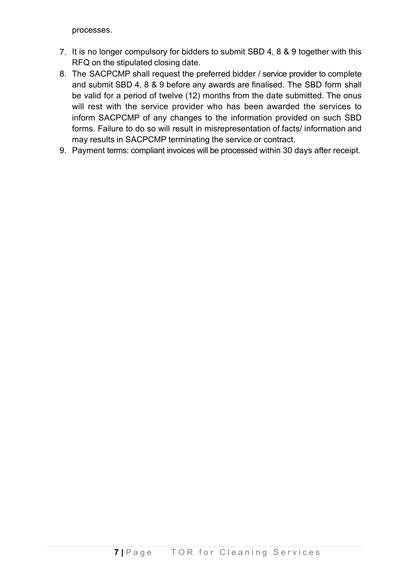processes.

- 7. It is no longer compulsory for bidders to submit SBD 4, 8 & 9 together with this RFQ on the stipulated closing date.
- 8. The SACPCMP shall request the preferred bidder / service provider to complete and submit SBD 4, 8 & 9 before any awards are finalised. The SBD form shall be valid for a period of twelve (12) months from the date submitted. The onus will rest with the service provider who has been awarded the services to inform SACPCMP of any changes to the information provided on such SBD forms. Failure to do so will result in misrepresentation of facts/ information and may results in SACPCMP terminating the service or contract.
- 9. Payment terms: compliant invoices will be processed within 30 days after receipt.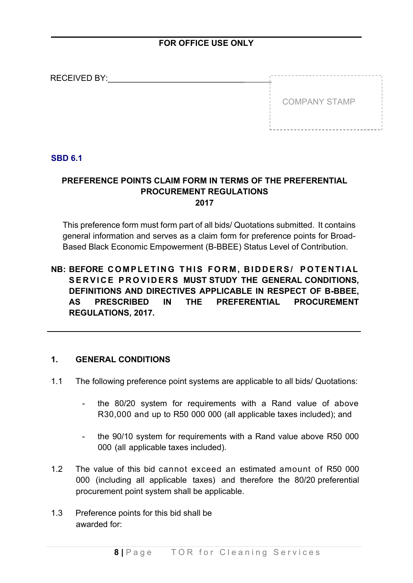## **FOR OFFICE USE ONLY**

| <b>RECEIVED BY:</b> |                      |
|---------------------|----------------------|
|                     |                      |
|                     | <b>COMPANY STAMP</b> |
|                     |                      |
|                     |                      |

#### **SBD 6.1**

### **PREFERENCE POINTS CLAIM FORM IN TERMS OF THE PREFERENTIAL PROCUREMENT REGULATIONS 2017**

This preference form must form part of all bids/ Quotations submitted. It contains general information and serves as a claim form for preference points for Broad-Based Black Economic Empowerment (B-BBEE) Status Level of Contribution.

## **NB: BEFORE COMPLETING THIS FORM , BIDDERS/ POTENTIAL SERVICE PROVIDERS MUST STUDY THE GENERAL CONDITIONS, DEFINITIONS AND DIRECTIVES APPLICABLE IN RESPECT OF B-BBEE, AS PRESCRIBED IN THE PREFERENTIAL PROCUREMENT REGULATIONS, 2017.**

#### **1. GENERAL CONDITIONS**

- 1.1 The following preference point systems are applicable to all bids/ Quotations:
	- the 80/20 system for requirements with a Rand value of above R30,000 and up to R50 000 000 (all applicable taxes included); and
	- the 90/10 system for requirements with a Rand value above R50 000 000 (all applicable taxes included).
- 1.2 The value of this bid cannot exceed an estimated amount of R50 000 000 (including all applicable taxes) and therefore the 80/20 preferential procurement point system shall be applicable.
- 1.3 Preference points for this bid shall be awarded for: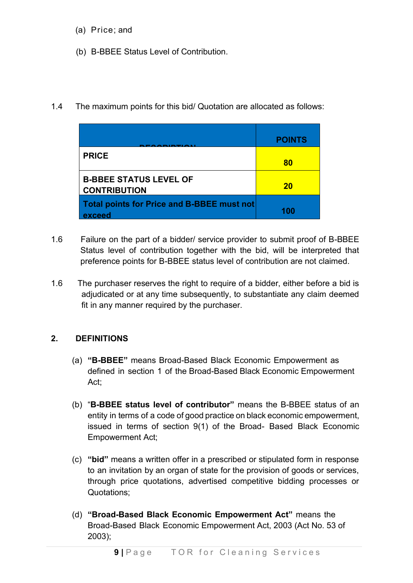- (a) Price; and
- (b) B-BBEE Status Level of Contribution.
- 1.4 The maximum points for this bid/ Quotation are allocated as follows:

|                                                      | <b>POINTS</b> |
|------------------------------------------------------|---------------|
| <b>PRICE</b>                                         | 80            |
| <b>B-BBEE STATUS LEVEL OF</b><br><b>CONTRIBUTION</b> | <b>20</b>     |
| Total points for Price and B-BBEE must not<br>exceed | 100           |

- 1.6 Failure on the part of a bidder/ service provider to submit proof of B-BBEE Status level of contribution together with the bid, will be interpreted that preference points for B-BBEE status level of contribution are not claimed.
- 1.6 The purchaser reserves the right to require of a bidder, either before a bid is adjudicated or at any time subsequently, to substantiate any claim deemed fit in any manner required by the purchaser.

## **2. DEFINITIONS**

- (a) **"B-BBEE"** means Broad-Based Black Economic Empowerment as defined in section 1 of the Broad-Based Black Economic Empowerment Act;
- (b) "**B-BBEE status level of contributor"** means the B-BBEE status of an entity in terms of a code of good practice on black economic empowerment, issued in terms of section 9(1) of the Broad- Based Black Economic Empowerment Act;
- (c) **"bid"** means a written offer in a prescribed or stipulated form in response to an invitation by an organ of state for the provision of goods or services, through price quotations, advertised competitive bidding processes or Quotations;
- (d) **"Broad-Based Black Economic Empowerment Act"** means the Broad-Based Black Economic Empowerment Act, 2003 (Act No. 53 of 2003);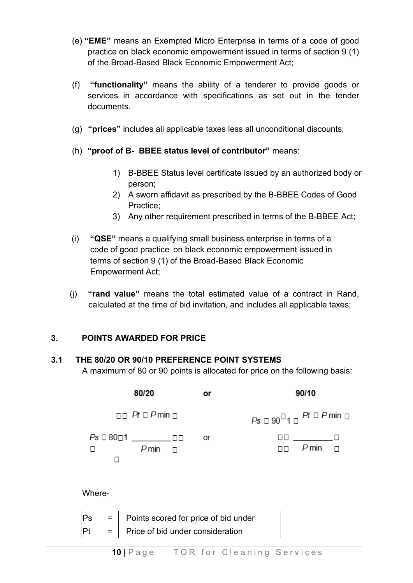- (e) **"EME"** means an Exempted Micro Enterprise in terms of a code of good practice on black economic empowerment issued in terms of section 9 (1) of the Broad-Based Black Economic Empowerment Act;
- (f) **"functionality"** means the ability of a tenderer to provide goods or services in accordance with specifications as set out in the tender documents.
- (g) **"prices"** includes all applicable taxes less all unconditional discounts;
- (h) **"proof of B- BBEE status level of contributor"** means:
	- 1) B-BBEE Status level certificate issued by an authorized body or person;
	- 2) A sworn affidavit as prescribed by the B-BBEE Codes of Good Practice;
	- 3) Any other requirement prescribed in terms of the B-BBEE Act;
- (i) **"QSE"** means a qualifying small business enterprise in terms of a code of good practice on black economic empowerment issued in terms of section 9 (1) of the Broad-Based Black Economic Empowerment Act;
- (j) **"rand value"** means the total estimated value of a contract in Rand, calculated at the time of bid invitation, and includes all applicable taxes;

### **3. POINTS AWARDED FOR PRICE**

#### **3.1 THE 80/20 OR 90/10 PREFERENCE POINT SYSTEMS**

A maximum of 80 or 90 points is allocated for price on the following basis:

| 80/20                                              | or | 90/10                                            |
|----------------------------------------------------|----|--------------------------------------------------|
| $\Box$ Pt $\Box$ Pmin $\Box$                       |    | $Ps \Box 90^{\Box}1 \Box$ Pt $\Box$ P min $\Box$ |
| Ps □ 80□1 __________□□<br>$P$ min $\Box$<br>$\Box$ | or | $\Box$ $P$ min $\Box$                            |

Where-

| Ps | $\vert$ = $\vert$ Points scored for price of bid under |  |
|----|--------------------------------------------------------|--|
| P  | $=$   Price of bid under consideration                 |  |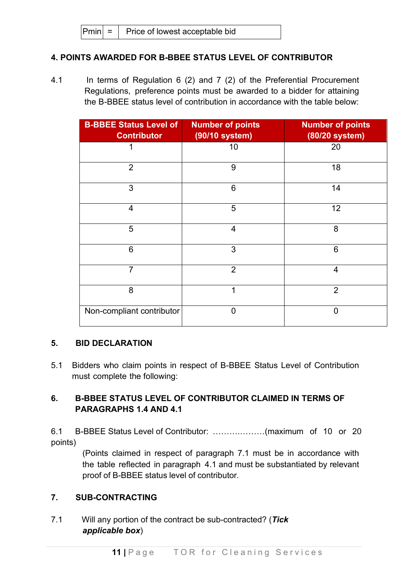### **4. POINTS AWARDED FOR B-BBEE STATUS LEVEL OF CONTRIBUTOR**

4.1 In terms of Regulation 6 (2) and 7 (2) of the Preferential Procurement Regulations, preference points must be awarded to a bidder for attaining the B-BBEE status level of contribution in accordance with the table below:

| <b>B-BBEE Status Level of</b><br><b>Contributor</b> | <b>Number of points</b><br>(90/10 system) | <b>Number of points</b><br>(80/20 system) |
|-----------------------------------------------------|-------------------------------------------|-------------------------------------------|
| 1                                                   | 10                                        | 20                                        |
| $\overline{2}$                                      | 9                                         | 18                                        |
| 3                                                   | 6                                         | 14                                        |
| $\overline{4}$                                      | 5                                         | 12                                        |
| 5                                                   | $\overline{4}$                            | 8                                         |
| 6                                                   | 3                                         | 6                                         |
| $\overline{7}$                                      | $\overline{2}$                            | $\overline{4}$                            |
| 8                                                   | 1                                         | $\overline{2}$                            |
| Non-compliant contributor                           | $\Omega$                                  | $\overline{0}$                            |

### **5. BID DECLARATION**

5.1 Bidders who claim points in respect of B-BBEE Status Level of Contribution must complete the following:

## **6. B-BBEE STATUS LEVEL OF CONTRIBUTOR CLAIMED IN TERMS OF PARAGRAPHS 1.4 AND 4.1**

6.1 B-BBEE Status Level of Contributor: ……….………(maximum of 10 or 20 points)

> (Points claimed in respect of paragraph 7.1 must be in accordance with the table reflected in paragraph 4.1 and must be substantiated by relevant proof of B-BBEE status level of contributor.

### **7. SUB-CONTRACTING**

7.1 Will any portion of the contract be sub-contracted? (*Tick applicable box*)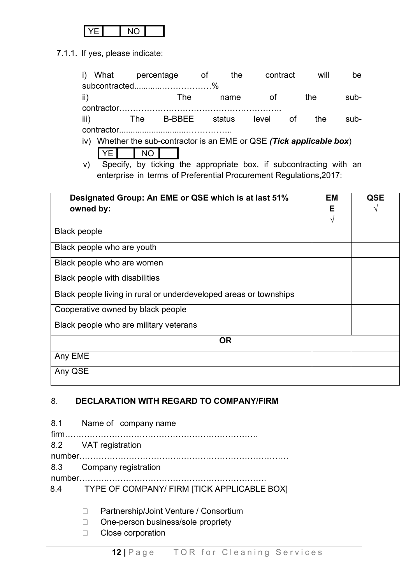7.1.1. If yes, please indicate:

|                     | i) What percentage of<br>subcontracted%                                                     |                  |            |                                                                                                                                                                 | contract<br>the |           | will                        | be   |                 |
|---------------------|---------------------------------------------------------------------------------------------|------------------|------------|-----------------------------------------------------------------------------------------------------------------------------------------------------------------|-----------------|-----------|-----------------------------|------|-----------------|
|                     | ii)                                                                                         |                  | <b>The</b> | name                                                                                                                                                            | of              |           | the                         | sub- |                 |
|                     | iii)<br>iv) Whether the sub-contractor is an EME or QSE (Tick applicable box)<br>I YE<br>V) | The<br><b>NO</b> |            | B-BBEE status level<br>Specify, by ticking the appropriate box, if subcontracting with an<br>enterprise in terms of Preferential Procurement Regulations, 2017: |                 | <b>of</b> | the                         | sub- |                 |
|                     | Designated Group: An EME or QSE which is at last 51%<br>owned by:                           |                  |            |                                                                                                                                                                 |                 |           | <b>EM</b><br>Е<br>$\sqrt{}$ |      | <b>QSE</b><br>V |
| <b>Black people</b> |                                                                                             |                  |            |                                                                                                                                                                 |                 |           |                             |      |                 |
|                     | Black people who are youth                                                                  |                  |            |                                                                                                                                                                 |                 |           |                             |      |                 |
|                     | Black people who are women                                                                  |                  |            |                                                                                                                                                                 |                 |           |                             |      |                 |
|                     | <b>Black people with disabilities</b>                                                       |                  |            |                                                                                                                                                                 |                 |           |                             |      |                 |
|                     | Black people living in rural or underdeveloped areas or townships                           |                  |            |                                                                                                                                                                 |                 |           |                             |      |                 |
|                     | Cooperative owned by black people                                                           |                  |            |                                                                                                                                                                 |                 |           |                             |      |                 |
|                     | Black people who are military veterans                                                      |                  |            |                                                                                                                                                                 |                 |           |                             |      |                 |
|                     |                                                                                             |                  |            | <b>OR</b>                                                                                                                                                       |                 |           |                             |      |                 |
| Any EME             |                                                                                             |                  |            |                                                                                                                                                                 |                 |           |                             |      |                 |
| Any QSE             |                                                                                             |                  |            |                                                                                                                                                                 |                 |           |                             |      |                 |

## 8. **DECLARATION WITH REGARD TO COMPANY/FIRM**

| 8.1 Name of company name                        |
|-------------------------------------------------|
| 8.2 VAT registration                            |
|                                                 |
| 8.3 Company registration                        |
|                                                 |
| 8.4 TYPE OF COMPANY/ FIRM [TICK APPLICABLE BOX] |
|                                                 |

- D Partnership/Joint Venture / Consortium
- □ One-person business/sole propriety
- □ Close corporation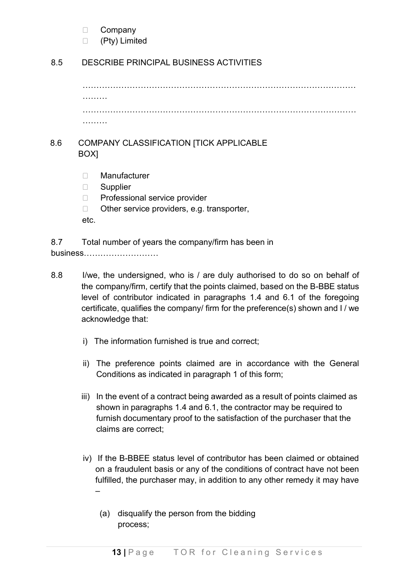□ Company

□ (Pty) Limited

## 8.5 DESCRIBE PRINCIPAL BUSINESS ACTIVITIES

……………………………………………………………………………………… ……… ……………………………………………………………………………………… ………

## 8.6 COMPANY CLASSIFICATION [TICK APPLICABLE BOX]

- Manufacturer
- □ Supplier
- □ Professional service provider
- $\Box$  Other service providers, e.g. transporter,
- etc.

8.7 Total number of years the company/firm has been in business………………………

- 8.8 I/we, the undersigned, who is / are duly authorised to do so on behalf of the company/firm, certify that the points claimed, based on the B-BBE status level of contributor indicated in paragraphs 1.4 and 6.1 of the foregoing certificate, qualifies the company/ firm for the preference(s) shown and I / we acknowledge that:
	- i) The information furnished is true and correct;
	- ii) The preference points claimed are in accordance with the General Conditions as indicated in paragraph 1 of this form;
	- iii) In the event of a contract being awarded as a result of points claimed as shown in paragraphs 1.4 and 6.1, the contractor may be required to furnish documentary proof to the satisfaction of the purchaser that the claims are correct;
	- iv) If the B-BBEE status level of contributor has been claimed or obtained on a fraudulent basis or any of the conditions of contract have not been fulfilled, the purchaser may, in addition to any other remedy it may have –
		- (a) disqualify the person from the bidding process;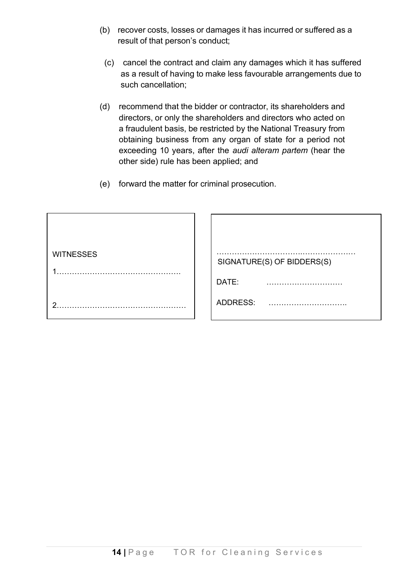- (b) recover costs, losses or damages it has incurred or suffered as a result of that person's conduct;
	- (c) cancel the contract and claim any damages which it has suffered as a result of having to make less favourable arrangements due to such cancellation;
- (d) recommend that the bidder or contractor, its shareholders and directors, or only the shareholders and directors who acted on a fraudulent basis, be restricted by the National Treasury from obtaining business from any organ of state for a period not exceeding 10 years, after the *audi alteram partem* (hear the other side) rule has been applied; and
- (e) forward the matter for criminal prosecution.

| <b>WITNESSES</b> | SIGNATURE(S) OF BIDDERS(S) |
|------------------|----------------------------|
|                  | DATE:                      |
| ◠                | ADDRESS:                   |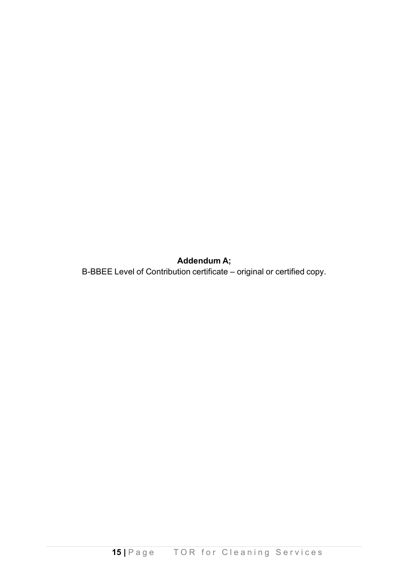**Addendum A;**

B-BBEE Level of Contribution certificate – original or certified copy.